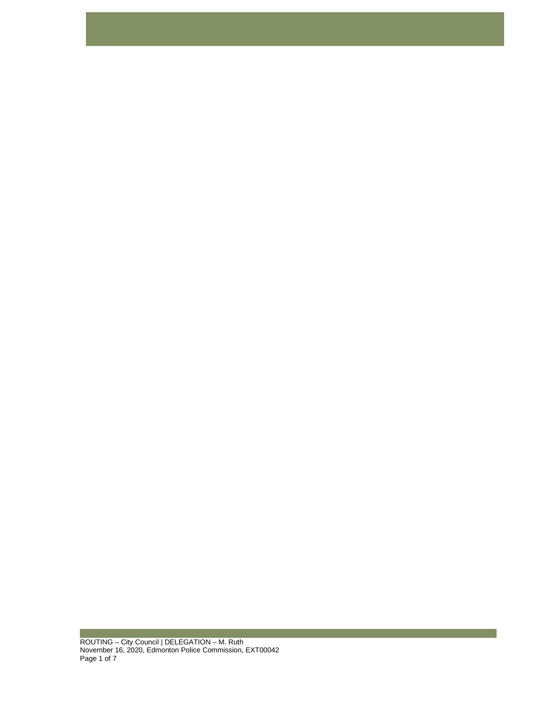#### ROUTING – City Council | DELEGATION – M. Ruth November 16, 2020, Edmonton Police Commission, EXT00042 Page 1 of 7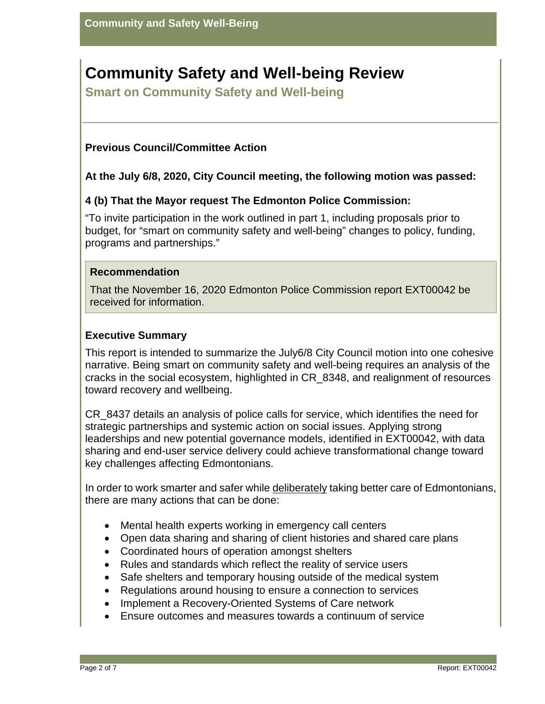# **Community Safety and Well-being Review**

**Smart on Community Safety and Well-being**

# **Previous Council/Committee Action**

# **At the July 6/8, 2020, City Council meeting, the following motion was passed:**

# **4 (b) That the Mayor request The Edmonton Police Commission:**

"To invite participation in the work outlined in part 1, including proposals prior to budget, for "smart on community safety and well-being" changes to policy, funding, programs and partnerships."

#### **Recommendation**

That the November 16, 2020 Edmonton Police Commission report EXT00042 be received for information.

### **Executive Summary**

This report is intended to summarize the July6/8 City Council motion into one cohesive narrative. Being smart on community safety and well-being requires an analysis of the cracks in the social ecosystem, highlighted in CR\_8348, and realignment of resources toward recovery and wellbeing.

CR\_8437 details an analysis of police calls for service, which identifies the need for strategic partnerships and systemic action on social issues. Applying strong leaderships and new potential governance models, identified in EXT00042, with data sharing and end-user service delivery could achieve transformational change toward key challenges affecting Edmontonians.

In order to work smarter and safer while deliberately taking better care of Edmontonians, there are many actions that can be done:

- Mental health experts working in emergency call centers
- Open data sharing and sharing of client histories and shared care plans
- Coordinated hours of operation amongst shelters
- Rules and standards which reflect the reality of service users
- Safe shelters and temporary housing outside of the medical system
- Regulations around housing to ensure a connection to services
- Implement a Recovery-Oriented Systems of Care network
- Ensure outcomes and measures towards a continuum of service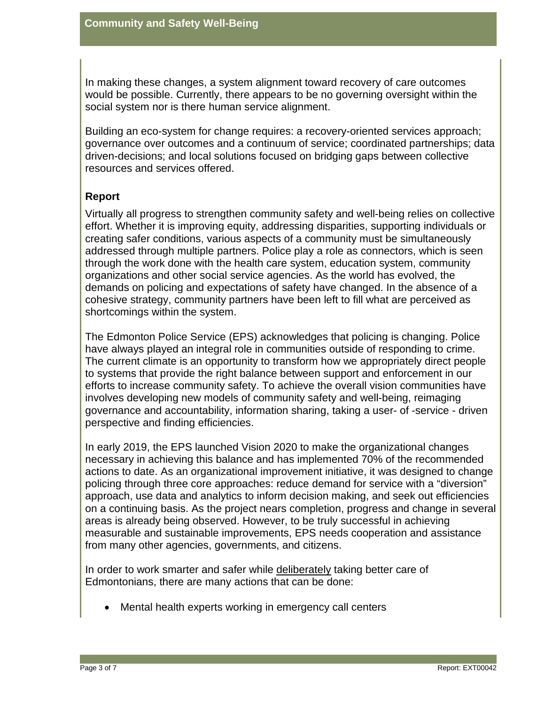In making these changes, a system alignment toward recovery of care outcomes would be possible. Currently, there appears to be no governing oversight within the social system nor is there human service alignment.

Building an eco-system for change requires: a recovery-oriented services approach; governance over outcomes and a continuum of service; coordinated partnerships; data driven-decisions; and local solutions focused on bridging gaps between collective resources and services offered.

# **Report**

Virtually all progress to strengthen community safety and well-being relies on collective effort. Whether it is improving equity, addressing disparities, supporting individuals or creating safer conditions, various aspects of a community must be simultaneously addressed through multiple partners. Police play a role as connectors, which is seen through the work done with the health care system, education system, community organizations and other social service agencies. As the world has evolved, the demands on policing and expectations of safety have changed. In the absence of a cohesive strategy, community partners have been left to fill what are perceived as shortcomings within the system.

The Edmonton Police Service (EPS) acknowledges that policing is changing. Police have always played an integral role in communities outside of responding to crime. The current climate is an opportunity to transform how we appropriately direct people to systems that provide the right balance between support and enforcement in our efforts to increase community safety. To achieve the overall vision communities have involves developing new models of community safety and well-being, reimaging governance and accountability, information sharing, taking a user- of -service - driven perspective and finding efficiencies.

In early 2019, the EPS launched Vision 2020 to make the organizational changes necessary in achieving this balance and has implemented 70% of the recommended actions to date. As an organizational improvement initiative, it was designed to change policing through three core approaches: reduce demand for service with a "diversion" approach, use data and analytics to inform decision making, and seek out efficiencies on a continuing basis. As the project nears completion, progress and change in several areas is already being observed. However, to be truly successful in achieving measurable and sustainable improvements, EPS needs cooperation and assistance from many other agencies, governments, and citizens.

In order to work smarter and safer while deliberately taking better care of Edmontonians, there are many actions that can be done:

Mental health experts working in emergency call centers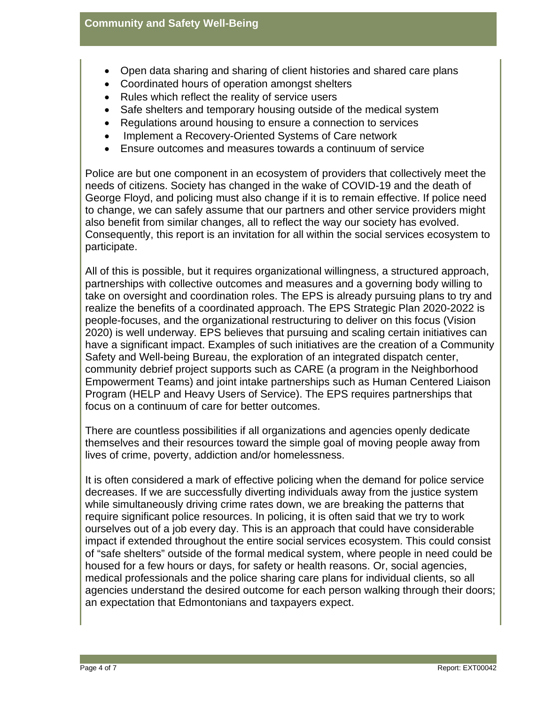- Open data sharing and sharing of client histories and shared care plans
- Coordinated hours of operation amongst shelters
- Rules which reflect the reality of service users
- Safe shelters and temporary housing outside of the medical system
- Regulations around housing to ensure a connection to services
- Implement a Recovery-Oriented Systems of Care network
- Ensure outcomes and measures towards a continuum of service

Police are but one component in an ecosystem of providers that collectively meet the needs of citizens. Society has changed in the wake of COVID-19 and the death of George Floyd, and policing must also change if it is to remain effective. If police need to change, we can safely assume that our partners and other service providers might also benefit from similar changes, all to reflect the way our society has evolved. Consequently, this report is an invitation for all within the social services ecosystem to participate.

All of this is possible, but it requires organizational willingness, a structured approach, partnerships with collective outcomes and measures and a governing body willing to take on oversight and coordination roles. The EPS is already pursuing plans to try and realize the benefits of a coordinated approach. The EPS Strategic Plan 2020-2022 is people-focuses, and the organizational restructuring to deliver on this focus (Vision 2020) is well underway. EPS believes that pursuing and scaling certain initiatives can have a significant impact. Examples of such initiatives are the creation of a Community Safety and Well-being Bureau, the exploration of an integrated dispatch center, community debrief project supports such as CARE (a program in the Neighborhood Empowerment Teams) and joint intake partnerships such as Human Centered Liaison Program (HELP and Heavy Users of Service). The EPS requires partnerships that focus on a continuum of care for better outcomes.

There are countless possibilities if all organizations and agencies openly dedicate themselves and their resources toward the simple goal of moving people away from lives of crime, poverty, addiction and/or homelessness.

It is often considered a mark of effective policing when the demand for police service decreases. If we are successfully diverting individuals away from the justice system while simultaneously driving crime rates down, we are breaking the patterns that require significant police resources. In policing, it is often said that we try to work ourselves out of a job every day. This is an approach that could have considerable impact if extended throughout the entire social services ecosystem. This could consist of "safe shelters" outside of the formal medical system, where people in need could be housed for a few hours or days, for safety or health reasons. Or, social agencies, medical professionals and the police sharing care plans for individual clients, so all agencies understand the desired outcome for each person walking through their doors; an expectation that Edmontonians and taxpayers expect.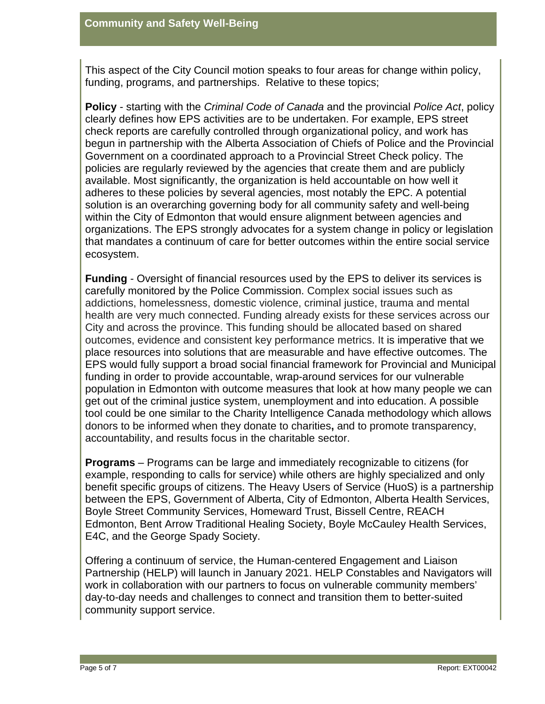This aspect of the City Council motion speaks to four areas for change within policy, funding, programs, and partnerships. Relative to these topics;

**Policy** - starting with the *Criminal Code of Canada* and the provincial *Police Act*, policy clearly defines how EPS activities are to be undertaken. For example, EPS street check reports are carefully controlled through organizational policy, and work has begun in partnership with the Alberta Association of Chiefs of Police and the Provincial Government on a coordinated approach to a Provincial Street Check policy. The policies are regularly reviewed by the agencies that create them and are publicly available. Most significantly, the organization is held accountable on how well it adheres to these policies by several agencies, most notably the EPC. A potential solution is an overarching governing body for all community safety and well-being within the City of Edmonton that would ensure alignment between agencies and organizations. The EPS strongly advocates for a system change in policy or legislation that mandates a continuum of care for better outcomes within the entire social service ecosystem.

**Funding** - Oversight of financial resources used by the EPS to deliver its services is carefully monitored by the Police Commission. Complex social issues such as addictions, homelessness, domestic violence, criminal justice, trauma and mental health are very much connected. Funding already exists for these services across our City and across the province. This funding should be allocated based on shared outcomes, evidence and consistent key performance metrics. It is imperative that we place resources into solutions that are measurable and have effective outcomes. The EPS would fully support a broad social financial framework for Provincial and Municipal funding in order to provide accountable, wrap-around services for our vulnerable population in Edmonton with outcome measures that look at how many people we can get out of the criminal justice system, unemployment and into education. A possible tool could be one similar to the Charity Intelligence Canada methodology which allows donors to be informed when they donate to charities**,** and to promote transparency, accountability, and results focus in the charitable sector.

**Programs** – Programs can be large and immediately recognizable to citizens (for example, responding to calls for service) while others are highly specialized and only benefit specific groups of citizens. The Heavy Users of Service (HuoS) is a partnership between the EPS, Government of Alberta, City of Edmonton, Alberta Health Services, Boyle Street Community Services, Homeward Trust, Bissell Centre, REACH Edmonton, Bent Arrow Traditional Healing Society, Boyle McCauley Health Services, E4C, and the George Spady Society.

Offering a continuum of service, the Human-centered Engagement and Liaison Partnership (HELP) will launch in January 2021. HELP Constables and Navigators will work in collaboration with our partners to focus on vulnerable community members' day-to-day needs and challenges to connect and transition them to better-suited community support service.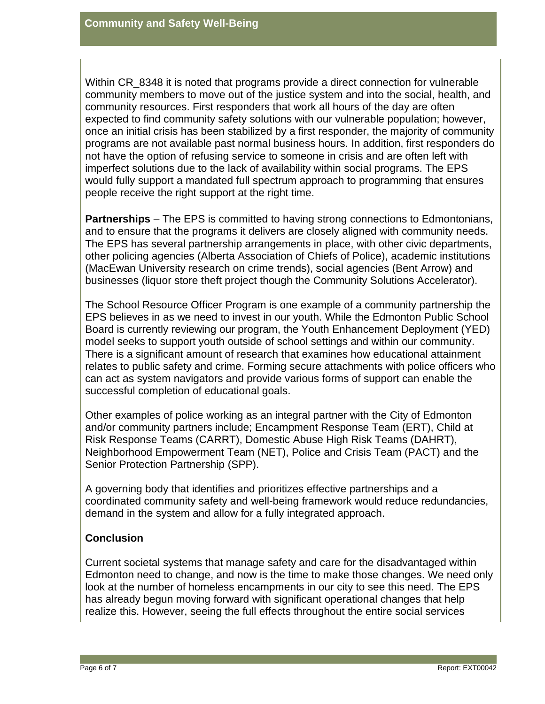Within CR 8348 it is noted that programs provide a direct connection for vulnerable community members to move out of the justice system and into the social, health, and community resources. First responders that work all hours of the day are often expected to find community safety solutions with our vulnerable population; however, once an initial crisis has been stabilized by a first responder, the majority of community programs are not available past normal business hours. In addition, first responders do not have the option of refusing service to someone in crisis and are often left with imperfect solutions due to the lack of availability within social programs. The EPS would fully support a mandated full spectrum approach to programming that ensures people receive the right support at the right time.

**Partnerships** – The EPS is committed to having strong connections to Edmontonians, and to ensure that the programs it delivers are closely aligned with community needs. The EPS has several partnership arrangements in place, with other civic departments, other policing agencies (Alberta Association of Chiefs of Police), academic institutions (MacEwan University research on crime trends), social agencies (Bent Arrow) and businesses (liquor store theft project though the Community Solutions Accelerator).

The School Resource Officer Program is one example of a community partnership the EPS believes in as we need to invest in our youth. While the Edmonton Public School Board is currently reviewing our program, the Youth Enhancement Deployment (YED) model seeks to support youth outside of school settings and within our community. There is a significant amount of research that examines how educational attainment relates to public safety and crime. Forming secure attachments with police officers who can act as system navigators and provide various forms of support can enable the successful completion of educational goals.

Other examples of police working as an integral partner with the City of Edmonton and/or community partners include; Encampment Response Team (ERT), Child at Risk Response Teams (CARRT), Domestic Abuse High Risk Teams (DAHRT), Neighborhood Empowerment Team (NET), Police and Crisis Team (PACT) and the Senior Protection Partnership (SPP).

A governing body that identifies and prioritizes effective partnerships and a coordinated community safety and well-being framework would reduce redundancies, demand in the system and allow for a fully integrated approach.

# **Conclusion**

Current societal systems that manage safety and care for the disadvantaged within Edmonton need to change, and now is the time to make those changes. We need only look at the number of homeless encampments in our city to see this need. The EPS has already begun moving forward with significant operational changes that help realize this. However, seeing the full effects throughout the entire social services